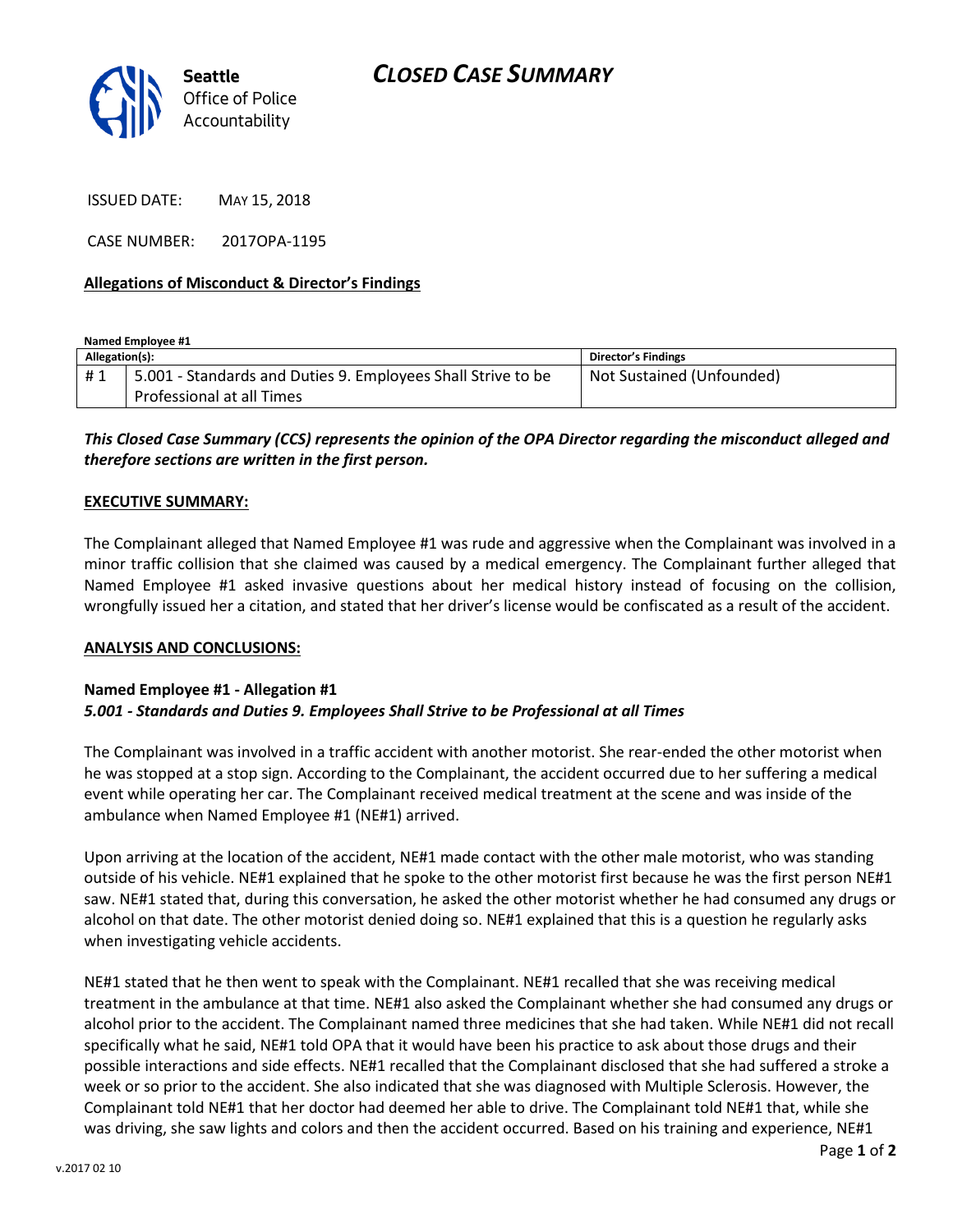

ISSUED DATE: MAY 15, 2018

CASE NUMBER: 2017OPA-1195

## **Allegations of Misconduct & Director's Findings**

**Named Employee #1 Allegation(s): Director's Findings** # 1 | 5.001 - Standards and Duties 9. Employees Shall Strive to be Professional at all Times Not Sustained (Unfounded)

*This Closed Case Summary (CCS) represents the opinion of the OPA Director regarding the misconduct alleged and therefore sections are written in the first person.* 

## **EXECUTIVE SUMMARY:**

The Complainant alleged that Named Employee #1 was rude and aggressive when the Complainant was involved in a minor traffic collision that she claimed was caused by a medical emergency. The Complainant further alleged that Named Employee #1 asked invasive questions about her medical history instead of focusing on the collision, wrongfully issued her a citation, and stated that her driver's license would be confiscated as a result of the accident.

#### **ANALYSIS AND CONCLUSIONS:**

## **Named Employee #1 - Allegation #1** *5.001 - Standards and Duties 9. Employees Shall Strive to be Professional at all Times*

The Complainant was involved in a traffic accident with another motorist. She rear-ended the other motorist when he was stopped at a stop sign. According to the Complainant, the accident occurred due to her suffering a medical event while operating her car. The Complainant received medical treatment at the scene and was inside of the ambulance when Named Employee #1 (NE#1) arrived.

Upon arriving at the location of the accident, NE#1 made contact with the other male motorist, who was standing outside of his vehicle. NE#1 explained that he spoke to the other motorist first because he was the first person NE#1 saw. NE#1 stated that, during this conversation, he asked the other motorist whether he had consumed any drugs or alcohol on that date. The other motorist denied doing so. NE#1 explained that this is a question he regularly asks when investigating vehicle accidents.

NE#1 stated that he then went to speak with the Complainant. NE#1 recalled that she was receiving medical treatment in the ambulance at that time. NE#1 also asked the Complainant whether she had consumed any drugs or alcohol prior to the accident. The Complainant named three medicines that she had taken. While NE#1 did not recall specifically what he said, NE#1 told OPA that it would have been his practice to ask about those drugs and their possible interactions and side effects. NE#1 recalled that the Complainant disclosed that she had suffered a stroke a week or so prior to the accident. She also indicated that she was diagnosed with Multiple Sclerosis. However, the Complainant told NE#1 that her doctor had deemed her able to drive. The Complainant told NE#1 that, while she was driving, she saw lights and colors and then the accident occurred. Based on his training and experience, NE#1